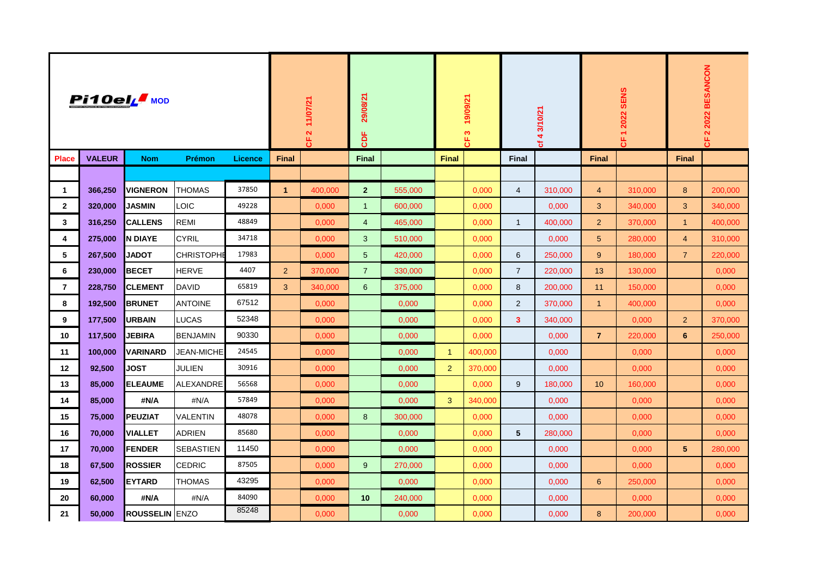| Pi10elL MOD             |               |                       |                   |                | 11/07/21<br>$\overline{\mathbf{N}}$<br>٣. |         | 29/08/21<br><b>CDF</b> |         | 19/09/21<br>က<br>෪ |         | cf 4 3/10/21    |         | 1 2022 SENS<br>෪ |         | 2022 BESANCON<br>$\boldsymbol{\alpha}$<br>෪ |         |
|-------------------------|---------------|-----------------------|-------------------|----------------|-------------------------------------------|---------|------------------------|---------|--------------------|---------|-----------------|---------|------------------|---------|---------------------------------------------|---------|
| <b>Place</b>            | <b>VALEUR</b> | <b>Nom</b>            | <b>Prémon</b>     | <b>Licence</b> | <b>Final</b>                              |         | <b>Final</b>           |         | <b>Final</b>       |         | Final           |         | <b>Final</b>     |         | <b>Final</b>                                |         |
|                         |               |                       |                   |                |                                           |         |                        |         |                    |         |                 |         |                  |         |                                             |         |
| $\mathbf{1}$            | 366,250       | <b>VIGNERON</b>       | <b>THOMAS</b>     | 37850          | $\mathbf{1}$                              | 400,000 | $\mathbf{2}$           | 555,000 |                    | 0,000   | $\overline{4}$  | 310,000 | $\overline{4}$   | 310,000 | 8                                           | 200,000 |
| $\mathbf{2}$            | 320,000       | <b>JASMIN</b>         | LOIC              | 49228          |                                           | 0,000   | $\mathbf{1}$           | 600,000 |                    | 0,000   |                 | 0,000   | 3 <sup>1</sup>   | 340,000 | 3 <sup>1</sup>                              | 340,000 |
| $\mathbf{3}$            | 316,250       | <b>CALLENS</b>        | <b>REMI</b>       | 48849          |                                           | 0,000   | $\overline{4}$         | 465,000 |                    | 0,000   | $\mathbf{1}$    | 400,000 | $\overline{2}$   | 370,000 | $\mathbf{1}$                                | 400,000 |
| $\overline{\mathbf{4}}$ | 275,000       | N DIAYE               | <b>CYRIL</b>      | 34718          |                                           | 0,000   | 3                      | 510,000 |                    | 0,000   |                 | 0,000   | $5\phantom{.}$   | 280,000 | $\overline{4}$                              | 310,000 |
| 5                       | 267,500       | <b>JADOT</b>          | <b>CHRISTOPHE</b> | 17983          |                                           | 0,000   | $5\overline{)}$        | 420,000 |                    | 0,000   | 6               | 250,000 | 9                | 180,000 | 7 <sup>1</sup>                              | 220,000 |
| 6                       | 230,000       | <b>BECET</b>          | <b>HERVE</b>      | 4407           | $\overline{2}$                            | 370,000 | $\overline{7}$         | 330,000 |                    | 0,000   | $\overline{7}$  | 220,000 | 13               | 130,000 |                                             | 0,000   |
| $\overline{7}$          | 228,750       | <b>CLEMENT</b>        | <b>DAVID</b>      | 65819          | 3                                         | 340,000 | $6^{\circ}$            | 375,000 |                    | 0,000   | 8               | 200,000 | 11               | 150,000 |                                             | 0,000   |
| 8                       | 192,500       | <b>BRUNET</b>         | <b>ANTOINE</b>    | 67512          |                                           | 0,000   |                        | 0,000   |                    | 0,000   | $\overline{2}$  | 370,000 | $\mathbf{1}$     | 400,000 |                                             | 0,000   |
| 9                       | 177,500       | <b>URBAIN</b>         | <b>LUCAS</b>      | 52348          |                                           | 0,000   |                        | 0,000   |                    | 0,000   | $\mathbf{3}$    | 340,000 |                  | 0,000   | 2 <sup>1</sup>                              | 370,000 |
| 10                      | 117,500       | <b>JEBIRA</b>         | <b>BENJAMIN</b>   | 90330          |                                           | 0,000   |                        | 0,000   |                    | 0,000   |                 | 0,000   | $\mathbf{7}$     | 220,000 | 6                                           | 250,000 |
| 11                      | 100,000       | <b>VARINARD</b>       | <b>JEAN-MICHE</b> | 24545          |                                           | 0,000   |                        | 0,000   | $\mathbf{1}$       | 400,000 |                 | 0,000   |                  | 0,000   |                                             | 0,000   |
| 12                      | 92,500        | <b>JOST</b>           | <b>JULIEN</b>     | 30916          |                                           | 0,000   |                        | 0,000   | $\overline{2}$     | 370,000 |                 | 0,000   |                  | 0,000   |                                             | 0,000   |
| 13                      | 85,000        | <b>ELEAUME</b>        | ALEXANDRE         | 56568          |                                           | 0,000   |                        | 0,000   |                    | 0,000   | 9               | 180,000 | 10 <sup>°</sup>  | 160,000 |                                             | 0,000   |
| 14                      | 85,000        | #N/A                  | #N/A              | 57849          |                                           | 0,000   |                        | 0,000   | 3 <sup>°</sup>     | 340,000 |                 | 0,000   |                  | 0,000   |                                             | 0,000   |
| 15                      | 75,000        | <b>PEUZIAT</b>        | <b>VALENTIN</b>   | 48078          |                                           | 0,000   | 8                      | 300,000 |                    | 0,000   |                 | 0,000   |                  | 0,000   |                                             | 0,000   |
| 16                      | 70,000        | <b>VIALLET</b>        | <b>ADRIEN</b>     | 85680          |                                           | 0,000   |                        | 0,000   |                    | 0,000   | $5\phantom{.0}$ | 280,000 |                  | 0,000   |                                             | 0,000   |
| 17                      | 70,000        | <b>FENDER</b>         | <b>SEBASTIEN</b>  | 11450          |                                           | 0,000   |                        | 0,000   |                    | 0,000   |                 | 0,000   |                  | 0,000   | 5 <sub>5</sub>                              | 280,000 |
| 18                      | 67,500        | ROSSIER               | <b>CEDRIC</b>     | 87505          |                                           | 0,000   | 9                      | 270,000 |                    | 0,000   |                 | 0,000   |                  | 0,000   |                                             | 0,000   |
| 19                      | 62,500        | <b>EYTARD</b>         | THOMAS            | 43295          |                                           | 0,000   |                        | 0,000   |                    | 0,000   |                 | 0,000   | 6                | 250,000 |                                             | 0,000   |
| 20                      | 60,000        | #N/A                  | #N/A              | 84090          |                                           | 0,000   | 10                     | 240,000 |                    | 0,000   |                 | 0,000   |                  | 0,000   |                                             | 0,000   |
| 21                      | 50,000        | <b>ROUSSELIN</b> ENZO |                   | 85248          |                                           | 0,000   |                        | 0,000   |                    | 0,000   |                 | 0,000   | 8                | 200,000 |                                             | 0,000   |